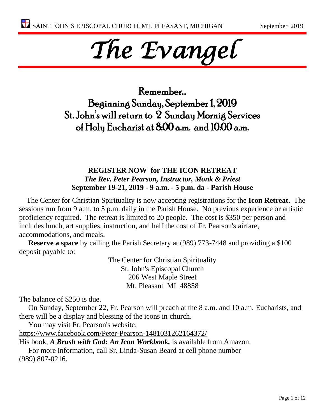# *The Evangel*

Remember… Beginning Sunday, September 1, 2019 St. John's will return to 2 Sunday Mornig Services of Holy Eucharist at 8:00 a.m. and 10:00 a.m.

#### **REGISTER NOW for THE ICON RETREAT** *The Rev. Peter Pearson, Instructor, Monk & Priest* **September 19-21, 2019 - 9 a.m. - 5 p.m. da - Parish House**

The Center for Christian Spirituality is now accepting registrations for the **Icon Retreat.** The sessions run from 9 a.m. to 5 p.m. daily in the Parish House. No previous experience or artistic proficiency required. The retreat is limited to 20 people. The cost is \$350 per person and includes lunch, art supplies, instruction, and half the cost of Fr. Pearson's airfare, accommodations, and meals.

**Reserve a space** by calling the Parish Secretary at (989) 773-7448 and providing a \$100 deposit payable to:

> The Center for Christian Spirituality St. John's Episcopal Church 206 West Maple Street Mt. Pleasant MI 48858

The balance of \$250 is due.

On Sunday, September 22, Fr. Pearson will preach at the 8 a.m. and 10 a.m. Eucharists, and there will be a display and blessing of the icons in church.

You may visit Fr. Pearson's website:

<https://www.facebook.com/Peter-Pearson-1481031262164372/>

His book, *A Brush with God: An Icon Workbook,* is available from Amazon.

For more information, call Sr. Linda-Susan Beard at cell phone number (989) 807-0216.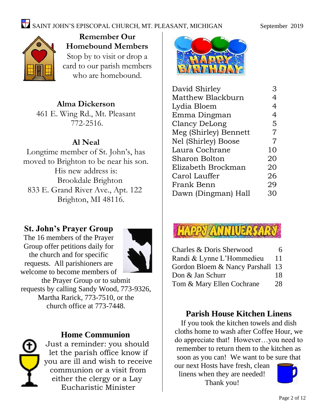

**Remember Our Homebound Members** Stop by to visit or drop a card to our parish members who are homebound.

#### **Alma Dickerson**

461 E. Wing Rd., Mt. Pleasant 772-2516.

#### **Al Neal**

Longtime member of St. John's, has moved to Brighton to be near his son. His new address is: Brookdale Brighton 833 E. Grand River Ave., Apt. 122 Brighton, MI 48116.

#### **St. John's Prayer Group**

The 16 members of the Prayer Group offer petitions daily for the church and for specific requests. All parishioners are welcome to become members of



the Prayer Group or to submit requests by calling Sandy Wood, 773-9326, Martha Rarick, 773-7510, or the church office at 773-7448.



#### **Home Communion**

Just a reminder: you should let the parish office know if you are ill and wish to receive communion or a visit from either the clergy or a Lay Eucharistic Minister



| David Shirley         | З              |
|-----------------------|----------------|
| Matthew Blackburn     | 4              |
| Lydia Bloem           | 4              |
| Emma Dingman          | $\overline{4}$ |
| Clancy DeLong         | 5              |
| Meg (Shirley) Bennett | 7              |
| Nel (Shirley) Boose   | 7              |
| Laura Cochrane        | 10             |
| <b>Sharon Bolton</b>  | 20             |
| Elizabeth Brockman    | 20             |
| Carol Lauffer         | 26             |
| Frank Benn            | 29             |
| Dawn (Dingman) Hall   | 30             |
|                       |                |



| Charles & Doris Sherwood      | 6  |
|-------------------------------|----|
| Randi & Lynne L'Hommedieu     | 11 |
| Gordon Bloem & Nancy Parshall | 13 |
| Don & Jan Schurr              | 18 |
| Tom & Mary Ellen Cochrane     | 28 |

#### **Parish House Kitchen Linens**

If you took the kitchen towels and dish cloths home to wash after Coffee Hour, we do appreciate that! However…you need to remember to return them to the kitchen as soon as you can! We want to be sure that

our next Hosts have fresh, clean linens when they are needed! Thank you!

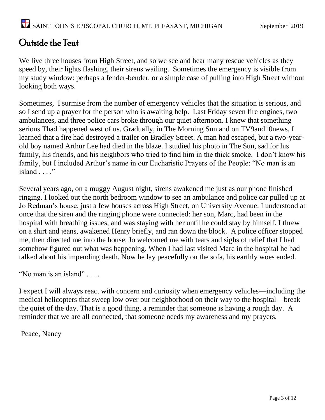### Outside the Tent

We live three houses from High Street, and so we see and hear many rescue vehicles as they speed by, their lights flashing, their sirens wailing. Sometimes the emergency is visible from my study window: perhaps a fender-bender, or a simple case of pulling into High Street without looking both ways.

Sometimes, I surmise from the number of emergency vehicles that the situation is serious, and so I send up a prayer for the person who is awaiting help. Last Friday seven fire engines, two ambulances, and three police cars broke through our quiet afternoon. I knew that something serious Thad happened west of us. Gradually, in The Morning Sun and on TV9and10news, I learned that a fire had destroyed a trailer on Bradley Street. A man had escaped, but a two-yearold boy named Arthur Lee had died in the blaze. I studied his photo in The Sun, sad for his family, his friends, and his neighbors who tried to find him in the thick smoke. I don't know his family, but I included Arthur's name in our Eucharistic Prayers of the People: "No man is an island . . . ."

Several years ago, on a muggy August night, sirens awakened me just as our phone finished ringing. I looked out the north bedroom window to see an ambulance and police car pulled up at Jo Redman's house, just a few houses across High Street, on University Avenue. I understood at once that the siren and the ringing phone were connected: her son, Marc, had been in the hospital with breathing issues, and was staying with her until he could stay by himself. I threw on a shirt and jeans, awakened Henry briefly, and ran down the block. A police officer stopped me, then directed me into the house. Jo welcomed me with tears and sighs of relief that I had somehow figured out what was happening. When I had last visited Marc in the hospital he had talked about his impending death. Now he lay peacefully on the sofa, his earthly woes ended.

"No man is an island" . . . .

I expect I will always react with concern and curiosity when emergency vehicles—including the medical helicopters that sweep low over our neighborhood on their way to the hospital—break the quiet of the day. That is a good thing, a reminder that someone is having a rough day. A reminder that we are all connected, that someone needs my awareness and my prayers.

Peace, Nancy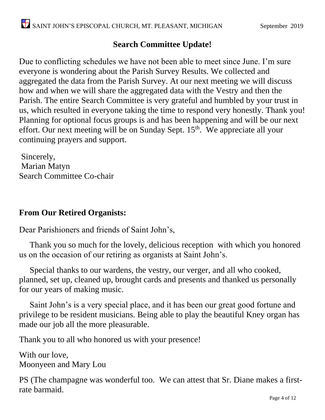#### **Search Committee Update!**

Due to conflicting schedules we have not been able to meet since June. I'm sure everyone is wondering about the Parish Survey Results. We collected and aggregated the data from the Parish Survey. At our next meeting we will discuss how and when we will share the aggregated data with the Vestry and then the Parish. The entire Search Committee is very grateful and humbled by your trust in us, which resulted in everyone taking the time to respond very honestly. Thank you! Planning for optional focus groups is and has been happening and will be our next effort. Our next meeting will be on Sunday Sept. 15<sup>th</sup>. We appreciate all your continuing prayers and support.

Sincerely, Marian Matyn Search Committee Co-chair

#### **From Our Retired Organists:**

Dear Parishioners and friends of Saint John's,

 Thank you so much for the lovely, delicious reception with which you honored us on the occasion of our retiring as organists at Saint John's.

 Special thanks to our wardens, the vestry, our verger, and all who cooked, planned, set up, cleaned up, brought cards and presents and thanked us personally for our years of making music.

 Saint John's is a very special place, and it has been our great good fortune and privilege to be resident musicians. Being able to play the beautiful Kney organ has made our job all the more pleasurable.

Thank you to all who honored us with your presence!

With our love, Moonyeen and Mary Lou

PS (The champagne was wonderful too. We can attest that Sr. Diane makes a firstrate barmaid.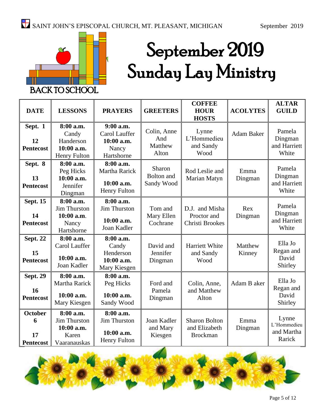

# September 2019 Sunday Lay Ministry

| <b>DATE</b>                                   | <b>LESSONS</b>                                                          | <b>PRAYERS</b>                                                        | <b>GREETERS</b>                        | <b>COFFEE</b><br><b>HOUR</b><br><b>HOSTS</b>             | <b>ACOLYTES</b>   | <b>ALTAR</b><br><b>GUILD</b>                 |
|-----------------------------------------------|-------------------------------------------------------------------------|-----------------------------------------------------------------------|----------------------------------------|----------------------------------------------------------|-------------------|----------------------------------------------|
| Sept. 1<br>12<br><b>Pentecost</b>             | 8:00 a.m.<br>Candy<br>Handerson<br>10:00 a.m.<br><b>Henry Fulton</b>    | $9:00$ a.m.<br>Carol Lauffer<br>10:00 a.m.<br>Nancy<br>Hartshorne     | Colin, Anne<br>And<br>Matthew<br>Alton | Lynne<br>L'Hommedieu<br>and Sandy<br>Wood                | Adam Baker        | Pamela<br>Dingman<br>and Harriett<br>White   |
| Sept. 8<br>13<br><b>Pentecost</b>             | 8:00 a.m.<br>Peg Hicks<br>10:00 a.m.<br>Jennifer<br>Dingman             | 8:00 a.m.<br>Martha Rarick<br>$10:00$ a.m.<br><b>Henry Fulton</b>     | Sharon<br>Bolton and<br>Sandy Wood     | Rod Leslie and<br>Marian Matyn                           | Emma<br>Dingman   | Pamela<br>Dingman<br>and Harriett<br>White   |
| <b>Sept. 15</b><br>14<br><b>Pentecost</b>     | 8:00 a.m.<br>Jim Thurston<br>10:00 a.m.<br>Nancy<br>Hartshorne          | 8:00 a.m.<br><b>Jim Thurston</b><br>10:00 a.m.<br>Joan Kadler         | Tom and<br>Mary Ellen<br>Cochrane      | D.J. and Misha<br>Proctor and<br>Christi Brookes         | Rex<br>Dingman    | Pamela<br>Dingman<br>and Harriett<br>White   |
| <b>Sept. 22</b><br>15<br><b>Pentecost</b>     | 8:00 a.m.<br>Carol Lauffer<br>10:00 a.m.<br>Joan Kadler                 | 8:00 a.m.<br>Candy<br>Henderson<br>$10:00$ a.m.<br>Mary Kiesgen       | David and<br>Jennifer<br>Dingman       | Harriett White<br>and Sandy<br>Wood                      | Matthew<br>Kinney | Ella Jo<br>Regan and<br>David<br>Shirley     |
| <b>Sept. 29</b><br>16<br><b>Pentecost</b>     | 8:00 a.m.<br>Martha Rarick<br>10:00 a.m.<br>Mary Kiesgen                | 8:00 a.m.<br>Peg Hicks<br>10:00 a.m.<br>Sandy Wood                    | Ford and<br>Pamela<br>Dingman          | Colin, Anne,<br>and Matthew<br>Alton                     | Adam B aker       | Ella Jo<br>Regan and<br>David<br>Shirley     |
| <b>October</b><br>6<br>17<br><b>Pentecost</b> | 8:00 a.m.<br><b>Jim Thurston</b><br>10:00 a.m.<br>Karen<br>Vaaranauskas | 8:00 a.m.<br><b>Jim Thurston</b><br>10:00 a.m.<br><b>Henry Fulton</b> | Joan Kadler<br>and Mary<br>Kiesgen     | <b>Sharon Bolton</b><br>and Elizabeth<br><b>Brockman</b> | Emma<br>Dingman   | Lynne<br>L'Hommedieu<br>and Martha<br>Rarick |

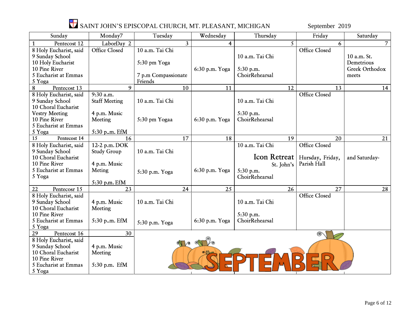

## SAINT JOHN'S EPISCOPAL CHURCH, MT. PLEASANT, MICHIGAN September 2019

| Sunday                 | Monday7              | Tuesday             | Wednesday      | Thursday            | Friday               | Saturday       |
|------------------------|----------------------|---------------------|----------------|---------------------|----------------------|----------------|
| Pentecost 12           | LaborDay 2           | 3                   | $\overline{4}$ | 5                   | 6                    | $\overline{7}$ |
| 8 Holy Eucharist, said | Office Closed        | 10 a.m. Tai Chi     |                |                     | <b>Office Closed</b> |                |
| 9 Sunday School        |                      |                     |                | 10 a.m. Tai Chi     |                      | 10 a.m. St.    |
| 10 Holy Eucharist      |                      | 5:30 pm Yoga        |                |                     |                      | Demetrious     |
| 10 Pine River          |                      |                     | 6:30 p.m. Yoga | 5:30 p.m.           |                      | Greek Orthodox |
| 5 Eucharist at Emmas   |                      | 7 p.m Compassionate |                | ChoirRehearsal      |                      | meets          |
| 5 Yoga                 |                      | Friends             |                |                     |                      |                |
| 8<br>Pentecost 13      | 9                    | 10                  | 11             | 12                  | 13                   | 14             |
| 8 Holy Eucharist, said | 9:30 a.m.            |                     |                |                     | <b>Office Closed</b> |                |
| 9 Sunday School        | <b>Staff Meeting</b> | 10 a.m. Tai Chi     |                | 10 a.m. Tai Chi     |                      |                |
| 10 Choral Eucharist    |                      |                     |                |                     |                      |                |
| <b>Vestry Meeting</b>  | 4 p.m. Music         |                     |                | 5:30 p.m.           |                      |                |
| 10 Pine River          | Meeting              | 5:30 pm Yogaa       | 6:30 p.m. Yoga | ChoirRehearsal      |                      |                |
| 5 Eucharist at Emmas   |                      |                     |                |                     |                      |                |
| 5 Yoga                 | 5:30 p.m. EfM        |                     |                |                     |                      |                |
| 15<br>Pentecost 14     | 16                   | 17                  | 18             | 19                  | 20                   | 21             |
| 8 Holy Eucharist, said | 12-2 p.m. DOK        |                     |                | 10 a.m. Tai Chi     | <b>Office Closed</b> |                |
| 9 Sunday School        | <b>Study Group</b>   | 10 a.m. Tai Chi     |                |                     |                      |                |
| 10 Choral Eucharist    |                      |                     |                | <b>Icon Retreat</b> | Hursday, Friday,     | and Saturday-  |
| 10 Pine River          | 4 p.m. Music         |                     |                | St. John's          | Parish Hall          |                |
| 5 Eucharist at Emmas   | Meting               | 5:30 p.m. Yoga      | 6:30 p.m. Yoga | 5:30 p.m.           |                      |                |
| 5 Yoga                 |                      |                     |                | ChoirRehearsal      |                      |                |
|                        | 5:30 p.m. EfM        |                     |                |                     |                      |                |
| 22<br>Pentecosr 15     | 23                   | 24                  | 25             | 26                  | 27                   | 28             |
| 8 Holy Eucharist, said |                      |                     |                |                     | <b>Office Closed</b> |                |
| 9 Sunday School        | 4 p.m. Music         | 10 a.m. Tai Chi     |                | 10 a.m. Tai Chi     |                      |                |
| 10 Choral Eucharist    | Meeting              |                     |                |                     |                      |                |
| 10 Pine River          |                      |                     |                | 5:30 p.m.           |                      |                |
| 5 Eucharist at Emmas   | 5:30 p.m. EfM        | 5:30 p.m. Yoga      | 6:30 p.m. Yoga | ChoirRehearsal      |                      |                |
| 5 Yoga                 |                      |                     |                |                     |                      |                |
| Pentecost 16<br>29     | 30                   |                     |                |                     |                      |                |
| 8 Holy Eucharist, said |                      | ∕®                  |                |                     |                      |                |
| 9 Sunday School        | 4 p.m. Music         |                     |                |                     |                      |                |
| 10 Choral Eucharist    | Meeting              |                     |                |                     |                      |                |
| 10 Pine River          |                      |                     |                |                     |                      |                |
| 5 Eucharist at Emmas   | 5:30 p.m. EfM        |                     |                |                     |                      |                |
| 5 Yoga                 |                      |                     |                |                     |                      |                |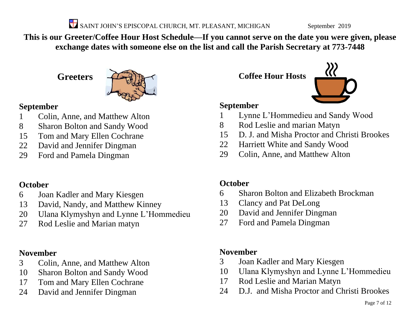SAINT JOHN'S EPISCOPAL CHURCH, MT. PLEASANT, MICHIGAN September 2019

**This is our Greeter/Coffee Hour Host Schedule—If you cannot serve on the date you were given, please exchange dates with someone else on the list and call the Parish Secretary at 773-7448**

**Greeters**



#### **September**

- Colin, Anne, and Matthew Alton
- Sharon Bolton and Sandy Wood
- Tom and Mary Ellen Cochrane
- David and Jennifer Dingman
- Ford and Pamela Dingman

#### **October**

- Joan Kadler and Mary Kiesgen
- David, Nandy, and Matthew Kinney
- Ulana Klymyshyn and Lynne L'Hommedieu
- Rod Leslie and Marian matyn

#### **November**

- Colin, Anne, and Matthew Alton
- Sharon Bolton and Sandy Wood
- Tom and Mary Ellen Cochrane
- David and Jennifer Dingman

**Coffee Hour Hosts**



#### **September**

- Lynne L'Hommedieu and Sandy Wood
- Rod Leslie and marian Matyn
- D. J. and Misha Proctor and Christi Brookes
- Harriett White and Sandy Wood
- Colin, Anne, and Matthew Alton

#### **October**

- Sharon Bolton and Elizabeth Brockman
- Clancy and Pat DeLong
- David and Jennifer Dingman
- Ford and Pamela Dingman

#### **November**

- Joan Kadler and Mary Kiesgen
- Ulana Klymyshyn and Lynne L'Hommedieu
- Rod Leslie and Marian Matyn
- D.J. and Misha Proctor and Christi Brookes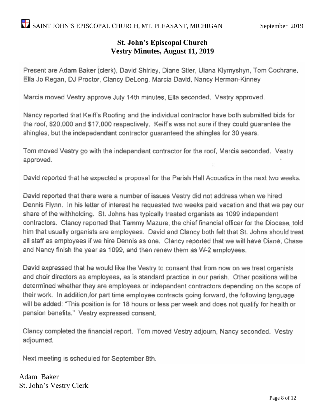#### **St. John's Episcopal Church Vestry Minutes, August 11, 2019**

Present are Adam Baker (clerk), David Shirley, Diane Stier, Ulana Klymyshyn, Tom Cochrane, Ella Jo Regan, DJ Proctor, Clancy DeLong, Marcia David, Nancy Herman-Kinney

Marcia moved Vestry approve July 14th minutes. Ella seconded. Vestry approved.

Nancy reported that Keiff's Roofing and the individual contractor have both submitted bids for the roof, \$20,000 and \$17,000 respectively. Keiff's was not sure if they could guarantee the shingles, but the indepedendant contractor guaranteed the shingles for 30 years.

Tom moved Vestry go with the independent contractor for the roof, Marcia seconded. Vestry approved.

David reported that he expected a proposal for the Parish Hall Acoustics in the next two weeks.

David reported that there were a number of issues Vestry did not address when we hired Dennis Flynn. In his letter of interest he requested two weeks paid vacation and that we pay our share of the withholding. St. Johns has typically treated organists as 1099 independent contractors. Clancy reported that Tammy Mazure, the chief financial officer for the Diocese, told him that usually organists are employees. David and Clancy both felt that St. Johns should treat all staff as employees if we hire Dennis as one. Clancy reported that we will have Diane, Chase and Nancy finish the year as 1099, and then renew them as W-2 employees.

David expressed that he would like the Vestry to consent that from now on we treat organists and choir directors as employees, as is standard practice in our parish. Other positions will be determined whether they are employees or independent contractors depending on the scope of their work. In addition, for part time employee contracts going forward, the following language will be added: "This position is for 18 hours or less per week and does not qualify for health or pension benefits." Vestry expressed consent.

Clancy completed the financial report. Tom moved Vestry adjourn, Nancy seconded. Vestry adjourned.

Next meeting is scheduled for September 8th.

Adam Baker St. John's Vestry Clerk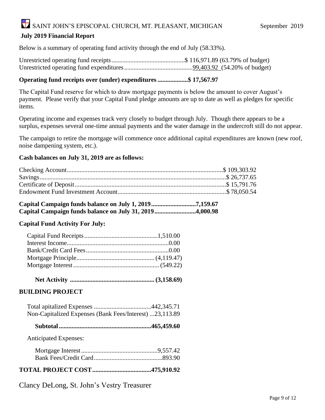## SAINT JOHN'S EPISCOPAL CHURCH, MT. PLEASANT, MICHIGAN September 2019

#### **July 2019 Financial Report**

Below is a summary of operating fund activity through the end of July (58.33%).

Unrestricted operating fund receipts..............................................\$ 116,971.89 (63.79% of budget) Unrestricted operating fund expenditures...........................................99,403.92 (54.20% of budget)

#### **Operating fund receipts over (under) expenditures ...................\$ 17,567.97**

The Capital Fund reserve for which to draw mortgage payments is below the amount to cover August's payment. Please verify that your Capital Fund pledge amounts are up to date as well as pledges for specific items.

Operating income and expenses track very closely to budget through July. Though there appears to be a surplus, expenses several one-time annual payments and the water damage in the undercroft still do not appear.

The campaign to retire the mortgage will commence once additional capital expenditures are known (new roof, noise dampening system, etc.).

#### **Cash balances on July 31, 2019 are as follows:**

|  | Capital Campaign funds balance on July 1, 20197,159.67  |  |
|--|---------------------------------------------------------|--|
|  | Capital Campaign funds balance on July 31, 20194,000.98 |  |

#### **Capital Fund Activity For July:**

 **Net Activity ..................................................... (3,158.69)**

#### **BUILDING PROJECT**

| Non-Capitalized Expenses (Bank Fees/Interest) 23,113.89 |  |
|---------------------------------------------------------|--|

 **Subtotal..........................................................465,459.60**

Anticipated Expenses:

#### **TOTAL PROJECT COST.....................................475,910.92**

Clancy DeLong, St. John's Vestry Treasurer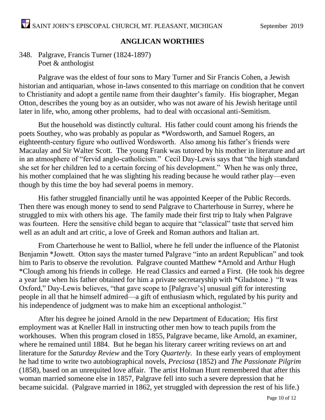#### **ANGLICAN WORTHIES**

#### 348. Palgrave, Francis Turner (1824-1897) Poet & anthologist

Palgrave was the eldest of four sons to Mary Turner and Sir Francis Cohen, a Jewish historian and antiquarian, whose in-laws consented to this marriage on condition that he convert to Christianity and adopt a gentile name from their daughter's family. His biographer, Megan Otton, describes the young boy as an outsider, who was not aware of his Jewish heritage until later in life, who, among other problems, had to deal with occasional anti-Semitism.

But the household was distinctly cultural. His father could count among his friends the poets Southey, who was probably as popular as \*Wordsworth, and Samuel Rogers, an eighteenth-century figure who outlived Wordsworth. Also among his father's friends were Macaulay and Sir Walter Scott. The young Frank was tutored by his mother in literature and art in an atmosphere of "fervid anglo-catholicism." Cecil Day-Lewis says that "the high standard she set for her children led to a certain forcing of his development." When he was only three, his mother complained that he was slighting his reading because he would rather play—even though by this time the boy had several poems in memory.

His father struggled financially until he was appointed Keeper of the Public Records. Then there was enough money to send to send Palgrave to Charterhouse in Surrey, where he struggled to mix with others his age. The family made their first trip to Italy when Palgrave was fourteen. Here the sensitive child began to acquire that "classical" taste that served him well as an adult and art critic, a love of Greek and Roman authors and Italian art.

From Charterhouse he went to Balliol, where he fell under the influence of the Platonist Benjamin \*Jowett. Otton says the master turned Palgrave "into an ardent Republican" and took him to Paris to observe the revolution. Palgrave counted Matthew \*Arnold and Arthur Hugh \*Clough among his friends in college. He read Classics and earned a First. (He took his degree a year late when his father obtained for him a private secretaryship with \*Gladstone.) "It was Oxford," Day-Lewis believes, "that gave scope to [Palgrave's] unusual gift for interesting people in all that he himself admired—a gift of enthusiasm which, regulated by his purity and his independence of judgment was to make him an exceptional anthologist."

After his degree he joined Arnold in the new Department of Education; His first employment was at Kneller Hall in instructing other men how to teach pupils from the workhouses. When this program closed in 1855, Palgrave became, like Arnold, an examiner, where he remained until 1884. But he began his literary career writing reviews on art and literature for the *Saturday Review* and the Tory *Quarterly*. In these early years of employment he had time to write two autobiographical novels, *Preciosa* (1852) and *The Passionate Pilgrim* (1858), based on an unrequited love affair. The artist Holman Hunt remembered that after this woman married someone else in 1857, Palgrave fell into such a severe depression that he became suicidal. (Palgrave married in 1862, yet struggled with depression the rest of his life.)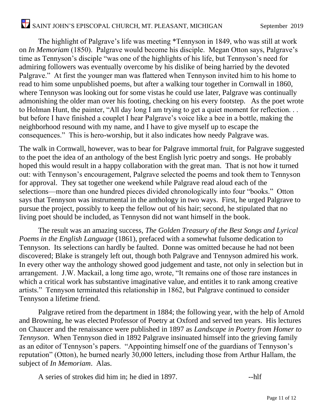The highlight of Palgrave's life was meeting \*Tennyson in 1849, who was still at work on *In Memoriam* (1850). Palgrave would become his disciple. Megan Otton says, Palgrave's time as Tennyson's disciple "was one of the highlights of his life, but Tennyson's need for admiring followers was eventually overcome by his dislike of being harried by the devoted Palgrave." At first the younger man was flattered when Tennyson invited him to his home to read to him some unpublished poems, but after a walking tour together in Cornwall in 1860, where Tennyson was looking out for some vistas he could use later, Palgrave was continually admonishing the older man over his footing, checking on his every footstep. As the poet wrote to Holman Hunt, the painter, "All day long I am trying to get a quiet moment for reflection. . . but before I have finished a couplet I hear Palgrave's voice like a bee in a bottle, making the neighborhood resound with my name, and I have to give myself up to escape the consequences." This is hero-worship, but it also indicates how needy Palgrave was.

The walk in Cornwall, however, was to bear for Palgrave immortal fruit, for Palgrave suggested to the poet the idea of an anthology of the best English lyric poetry and songs. He probably hoped this would result in a happy collaboration with the great man. That is not how it turned out: with Tennyson's encouragement, Palgrave selected the poems and took them to Tennyson for approval. They sat together one weekend while Palgrave read aloud each of the selections—more than one hundred pieces divided chronologically into four "books." Otton says that Tennyson was instrumental in the anthology in two ways. First, he urged Palgrave to pursue the project, possibly to keep the fellow out of his hair; second, he stipulated that no living poet should be included, as Tennyson did not want himself in the book.

The result was an amazing success, *The Golden Treasury of the Best Songs and Lyrical Poems in the English Language* (1861), prefaced with a somewhat fulsome dedication to Tennyson. Its selections can hardly be faulted. Donne was omitted because he had not been discovered; Blake is strangely left out, though both Palgrave and Tennyson admired his work. In every other way the anthology showed good judgement and taste, not only in selection but in arrangement. J.W. Mackail, a long time ago, wrote, "It remains one of those rare instances in which a critical work has substantive imaginative value, and entitles it to rank among creative artists." Tennyson terminated this relationship in 1862, but Palgrave continued to consider Tennyson a lifetime friend.

Palgrave retired from the department in 1884; the following year, with the help of Arnold and Browning, he was elected Professor of Poetry at Oxford and served ten years. His lectures on Chaucer and the renaissance were published in 1897 as *Landscape in Poetry from Homer to Tennyson*. When Tennyson died in 1892 Palgrave insinuated himself into the grieving family as an editor of Tennyson's papers. "Appointing himself one of the guardians of Tennyson's reputation" (Otton), he burned nearly 30,000 letters, including those from Arthur Hallam, the subject of *In Memoriam*. Alas.

A series of strokes did him in; he died in 1897.